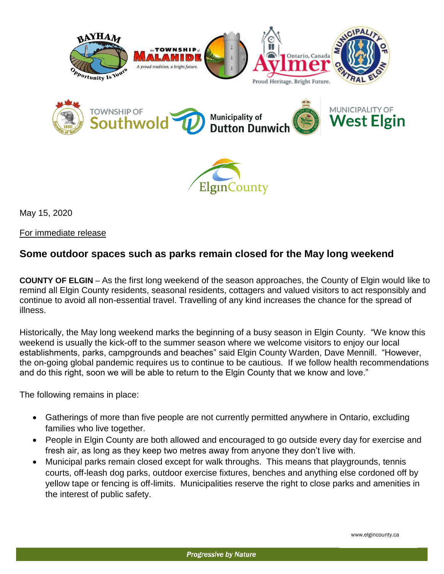



May 15, 2020

For immediate release

## **Some outdoor spaces such as parks remain closed for the May long weekend**

**COUNTY OF ELGIN** – As the first long weekend of the season approaches, the County of Elgin would like to remind all Elgin County residents, seasonal residents, cottagers and valued visitors to act responsibly and continue to avoid all non-essential travel. Travelling of any kind increases the chance for the spread of illness.

Historically, the May long weekend marks the beginning of a busy season in Elgin County. "We know this weekend is usually the kick-off to the summer season where we welcome visitors to enjoy our local establishments, parks, campgrounds and beaches" said Elgin County Warden, Dave Mennill. "However, the on-going global pandemic requires us to continue to be cautious. If we follow health recommendations and do this right, soon we will be able to return to the Elgin County that we know and love."

The following remains in place:

- Gatherings of more than five people are not currently permitted anywhere in Ontario, excluding families who live together.
- People in Elgin County are both allowed and encouraged to go outside every day for exercise and fresh air, as long as they keep two metres away from anyone they don't live with.
- Municipal parks remain closed except for walk throughs. This means that playgrounds, tennis courts, off-leash dog parks, outdoor exercise fixtures, benches and anything else cordoned off by yellow tape or fencing is off-limits. Municipalities reserve the right to close parks and amenities in the interest of public safety.